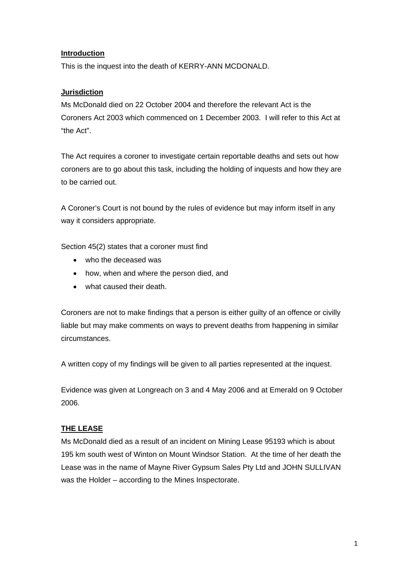## **Introduction**

This is the inquest into the death of KERRY-ANN MCDONALD.

## **Jurisdiction**

Ms McDonald died on 22 October 2004 and therefore the relevant Act is the Coroners Act 2003 which commenced on 1 December 2003. I will refer to this Act at "the Act".

The Act requires a coroner to investigate certain reportable deaths and sets out how coroners are to go about this task, including the holding of inquests and how they are to be carried out.

A Coroner's Court is not bound by the rules of evidence but may inform itself in any way it considers appropriate.

Section 45(2) states that a coroner must find

- who the deceased was
- how, when and where the person died, and
- what caused their death.

Coroners are not to make findings that a person is either guilty of an offence or civilly liable but may make comments on ways to prevent deaths from happening in similar circumstances.

A written copy of my findings will be given to all parties represented at the inquest.

Evidence was given at Longreach on 3 and 4 May 2006 and at Emerald on 9 October 2006.

# **THE LEASE**

Ms McDonald died as a result of an incident on Mining Lease 95193 which is about 195 km south west of Winton on Mount Windsor Station. At the time of her death the Lease was in the name of Mayne River Gypsum Sales Pty Ltd and JOHN SULLIVAN was the Holder – according to the Mines Inspectorate.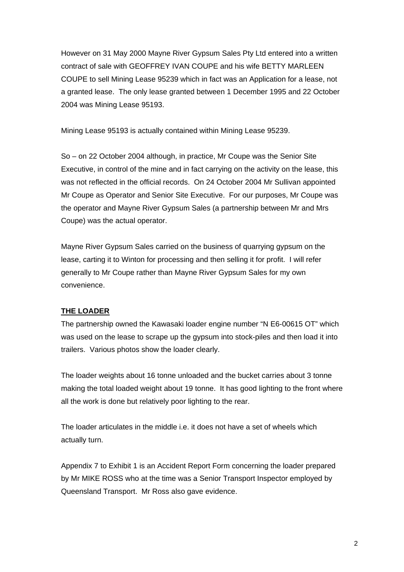However on 31 May 2000 Mayne River Gypsum Sales Pty Ltd entered into a written contract of sale with GEOFFREY IVAN COUPE and his wife BETTY MARLEEN COUPE to sell Mining Lease 95239 which in fact was an Application for a lease, not a granted lease. The only lease granted between 1 December 1995 and 22 October 2004 was Mining Lease 95193.

Mining Lease 95193 is actually contained within Mining Lease 95239.

So – on 22 October 2004 although, in practice, Mr Coupe was the Senior Site Executive, in control of the mine and in fact carrying on the activity on the lease, this was not reflected in the official records. On 24 October 2004 Mr Sullivan appointed Mr Coupe as Operator and Senior Site Executive. For our purposes, Mr Coupe was the operator and Mayne River Gypsum Sales (a partnership between Mr and Mrs Coupe) was the actual operator.

Mayne River Gypsum Sales carried on the business of quarrying gypsum on the lease, carting it to Winton for processing and then selling it for profit. I will refer generally to Mr Coupe rather than Mayne River Gypsum Sales for my own convenience.

## **THE LOADER**

The partnership owned the Kawasaki loader engine number "N E6-00615 OT" which was used on the lease to scrape up the gypsum into stock-piles and then load it into trailers. Various photos show the loader clearly.

The loader weights about 16 tonne unloaded and the bucket carries about 3 tonne making the total loaded weight about 19 tonne. It has good lighting to the front where all the work is done but relatively poor lighting to the rear.

The loader articulates in the middle i.e. it does not have a set of wheels which actually turn.

Appendix 7 to Exhibit 1 is an Accident Report Form concerning the loader prepared by Mr MIKE ROSS who at the time was a Senior Transport Inspector employed by Queensland Transport. Mr Ross also gave evidence.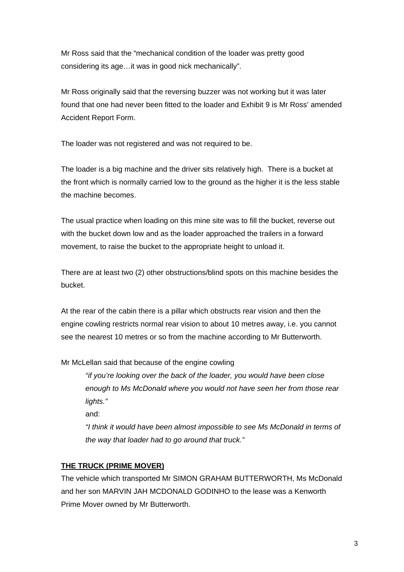Mr Ross said that the "mechanical condition of the loader was pretty good considering its age…it was in good nick mechanically".

Mr Ross originally said that the reversing buzzer was not working but it was later found that one had never been fitted to the loader and Exhibit 9 is Mr Ross' amended Accident Report Form.

The loader was not registered and was not required to be.

The loader is a big machine and the driver sits relatively high. There is a bucket at the front which is normally carried low to the ground as the higher it is the less stable the machine becomes.

The usual practice when loading on this mine site was to fill the bucket, reverse out with the bucket down low and as the loader approached the trailers in a forward movement, to raise the bucket to the appropriate height to unload it.

There are at least two (2) other obstructions/blind spots on this machine besides the bucket.

At the rear of the cabin there is a pillar which obstructs rear vision and then the engine cowling restricts normal rear vision to about 10 metres away, i.e. you cannot see the nearest 10 metres or so from the machine according to Mr Butterworth.

Mr McLellan said that because of the engine cowling

*"if you're looking over the back of the loader, you would have been close enough to Ms McDonald where you would not have seen her from those rear lights."*

and:

*"I think it would have been almost impossible to see Ms McDonald in terms of the way that loader had to go around that truck."* 

# **THE TRUCK (PRIME MOVER)**

The vehicle which transported Mr SIMON GRAHAM BUTTERWORTH, Ms McDonald and her son MARVIN JAH MCDONALD GODINHO to the lease was a Kenworth Prime Mover owned by Mr Butterworth.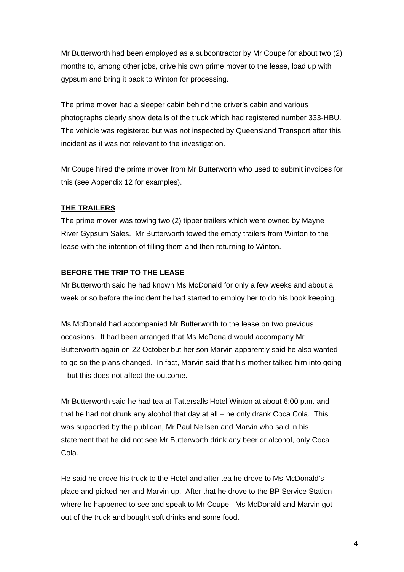Mr Butterworth had been employed as a subcontractor by Mr Coupe for about two (2) months to, among other jobs, drive his own prime mover to the lease, load up with gypsum and bring it back to Winton for processing.

The prime mover had a sleeper cabin behind the driver's cabin and various photographs clearly show details of the truck which had registered number 333-HBU. The vehicle was registered but was not inspected by Queensland Transport after this incident as it was not relevant to the investigation.

Mr Coupe hired the prime mover from Mr Butterworth who used to submit invoices for this (see Appendix 12 for examples).

## **THE TRAILERS**

The prime mover was towing two (2) tipper trailers which were owned by Mayne River Gypsum Sales. Mr Butterworth towed the empty trailers from Winton to the lease with the intention of filling them and then returning to Winton.

## **BEFORE THE TRIP TO THE LEASE**

Mr Butterworth said he had known Ms McDonald for only a few weeks and about a week or so before the incident he had started to employ her to do his book keeping.

Ms McDonald had accompanied Mr Butterworth to the lease on two previous occasions. It had been arranged that Ms McDonald would accompany Mr Butterworth again on 22 October but her son Marvin apparently said he also wanted to go so the plans changed. In fact, Marvin said that his mother talked him into going – but this does not affect the outcome.

Mr Butterworth said he had tea at Tattersalls Hotel Winton at about 6:00 p.m. and that he had not drunk any alcohol that day at all – he only drank Coca Cola. This was supported by the publican, Mr Paul Neilsen and Marvin who said in his statement that he did not see Mr Butterworth drink any beer or alcohol, only Coca Cola.

He said he drove his truck to the Hotel and after tea he drove to Ms McDonald's place and picked her and Marvin up. After that he drove to the BP Service Station where he happened to see and speak to Mr Coupe. Ms McDonald and Marvin got out of the truck and bought soft drinks and some food.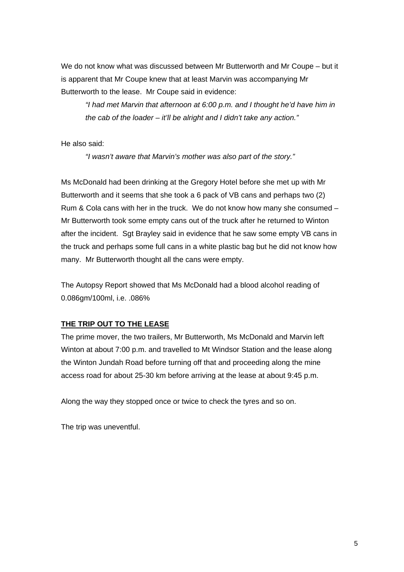We do not know what was discussed between Mr Butterworth and Mr Coupe – but it is apparent that Mr Coupe knew that at least Marvin was accompanying Mr Butterworth to the lease. Mr Coupe said in evidence:

*"I had met Marvin that afternoon at 6:00 p.m. and I thought he'd have him in the cab of the loader – it'll be alright and I didn't take any action."* 

He also said:

*"I wasn't aware that Marvin's mother was also part of the story."* 

Ms McDonald had been drinking at the Gregory Hotel before she met up with Mr Butterworth and it seems that she took a 6 pack of VB cans and perhaps two (2) Rum & Cola cans with her in the truck. We do not know how many she consumed – Mr Butterworth took some empty cans out of the truck after he returned to Winton after the incident. Sgt Brayley said in evidence that he saw some empty VB cans in the truck and perhaps some full cans in a white plastic bag but he did not know how many. Mr Butterworth thought all the cans were empty.

The Autopsy Report showed that Ms McDonald had a blood alcohol reading of 0.086gm/100ml, i.e. .086%

## **THE TRIP OUT TO THE LEASE**

The prime mover, the two trailers, Mr Butterworth, Ms McDonald and Marvin left Winton at about 7:00 p.m. and travelled to Mt Windsor Station and the lease along the Winton Jundah Road before turning off that and proceeding along the mine access road for about 25-30 km before arriving at the lease at about 9:45 p.m.

Along the way they stopped once or twice to check the tyres and so on.

The trip was uneventful.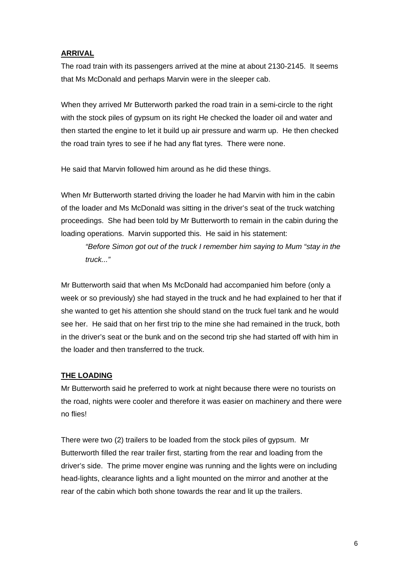## **ARRIVAL**

The road train with its passengers arrived at the mine at about 2130-2145. It seems that Ms McDonald and perhaps Marvin were in the sleeper cab.

When they arrived Mr Butterworth parked the road train in a semi-circle to the right with the stock piles of gypsum on its right He checked the loader oil and water and then started the engine to let it build up air pressure and warm up. He then checked the road train tyres to see if he had any flat tyres. There were none.

He said that Marvin followed him around as he did these things.

When Mr Butterworth started driving the loader he had Marvin with him in the cabin of the loader and Ms McDonald was sitting in the driver's seat of the truck watching proceedings. She had been told by Mr Butterworth to remain in the cabin during the loading operations. Marvin supported this. He said in his statement:

*"Before Simon got out of the truck I remember him saying to Mum "stay in the truck..."* 

Mr Butterworth said that when Ms McDonald had accompanied him before (only a week or so previously) she had stayed in the truck and he had explained to her that if she wanted to get his attention she should stand on the truck fuel tank and he would see her. He said that on her first trip to the mine she had remained in the truck, both in the driver's seat or the bunk and on the second trip she had started off with him in the loader and then transferred to the truck.

# **THE LOADING**

Mr Butterworth said he preferred to work at night because there were no tourists on the road, nights were cooler and therefore it was easier on machinery and there were no flies!

There were two (2) trailers to be loaded from the stock piles of gypsum. Mr Butterworth filled the rear trailer first, starting from the rear and loading from the driver's side. The prime mover engine was running and the lights were on including head-lights, clearance lights and a light mounted on the mirror and another at the rear of the cabin which both shone towards the rear and lit up the trailers.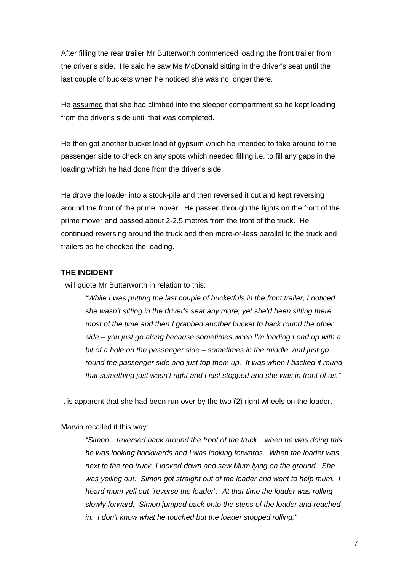After filling the rear trailer Mr Butterworth commenced loading the front trailer from the driver's side. He said he saw Ms McDonald sitting in the driver's seat until the last couple of buckets when he noticed she was no longer there.

He assumed that she had climbed into the sleeper compartment so he kept loading from the driver's side until that was completed.

He then got another bucket load of gypsum which he intended to take around to the passenger side to check on any spots which needed filling i.e. to fill any gaps in the loading which he had done from the driver's side.

He drove the loader into a stock-pile and then reversed it out and kept reversing around the front of the prime mover. He passed through the lights on the front of the prime mover and passed about 2-2.5 metres from the front of the truck. He continued reversing around the truck and then more-or-less parallel to the truck and trailers as he checked the loading.

#### **THE INCIDENT**

I will quote Mr Butterworth in relation to this:

*"While I was putting the last couple of bucketfuls in the front trailer, I noticed she wasn't sitting in the driver's seat any more, yet she'd been sitting there most of the time and then I grabbed another bucket to back round the other side – you just go along because sometimes when I'm loading I end up with a bit of a hole on the passenger side – sometimes in the middle, and just go round the passenger side and just top them up. It was when I backed it round that something just wasn't right and I just stopped and she was in front of us."*

It is apparent that she had been run over by the two (2) right wheels on the loader.

#### Marvin recalled it this way:

*"Simon…reversed back around the front of the truck…when he was doing this he was looking backwards and I was looking forwards. When the loader was next to the red truck, I looked down and saw Mum lying on the ground. She was yelling out. Simon got straight out of the loader and went to help mum. I heard mum yell out "reverse the loader". At that time the loader was rolling slowly forward. Simon jumped back onto the steps of the loader and reached in. I don't know what he touched but the loader stopped rolling."*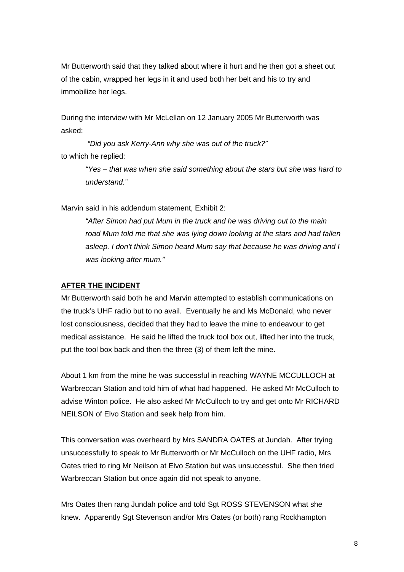Mr Butterworth said that they talked about where it hurt and he then got a sheet out of the cabin, wrapped her legs in it and used both her belt and his to try and immobilize her legs.

During the interview with Mr McLellan on 12 January 2005 Mr Butterworth was asked:

*"Did you ask Kerry-Ann why she was out of the truck?"*  to which he replied:

> *"Yes – that was when she said something about the stars but she was hard to understand."*

Marvin said in his addendum statement, Exhibit 2:

*"After Simon had put Mum in the truck and he was driving out to the main road Mum told me that she was lying down looking at the stars and had fallen asleep. I don't think Simon heard Mum say that because he was driving and I was looking after mum."* 

### **AFTER THE INCIDENT**

Mr Butterworth said both he and Marvin attempted to establish communications on the truck's UHF radio but to no avail. Eventually he and Ms McDonald, who never lost consciousness, decided that they had to leave the mine to endeavour to get medical assistance. He said he lifted the truck tool box out, lifted her into the truck, put the tool box back and then the three (3) of them left the mine.

About 1 km from the mine he was successful in reaching WAYNE MCCULLOCH at Warbreccan Station and told him of what had happened. He asked Mr McCulloch to advise Winton police. He also asked Mr McCulloch to try and get onto Mr RICHARD NEILSON of Elvo Station and seek help from him.

This conversation was overheard by Mrs SANDRA OATES at Jundah. After trying unsuccessfully to speak to Mr Butterworth or Mr McCulloch on the UHF radio, Mrs Oates tried to ring Mr Neilson at Elvo Station but was unsuccessful. She then tried Warbreccan Station but once again did not speak to anyone.

Mrs Oates then rang Jundah police and told Sgt ROSS STEVENSON what she knew. Apparently Sgt Stevenson and/or Mrs Oates (or both) rang Rockhampton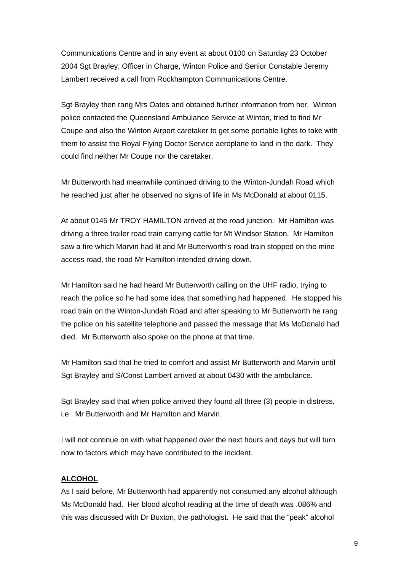Communications Centre and in any event at about 0100 on Saturday 23 October 2004 Sgt Brayley, Officer in Charge, Winton Police and Senior Constable Jeremy Lambert received a call from Rockhampton Communications Centre.

Sgt Brayley then rang Mrs Oates and obtained further information from her. Winton police contacted the Queensland Ambulance Service at Winton, tried to find Mr Coupe and also the Winton Airport caretaker to get some portable lights to take with them to assist the Royal Flying Doctor Service aeroplane to land in the dark. They could find neither Mr Coupe nor the caretaker.

Mr Butterworth had meanwhile continued driving to the Winton-Jundah Road which he reached just after he observed no signs of life in Ms McDonald at about 0115.

At about 0145 Mr TROY HAMILTON arrived at the road junction. Mr Hamilton was driving a three trailer road train carrying cattle for Mt Windsor Station. Mr Hamilton saw a fire which Marvin had lit and Mr Butterworth's road train stopped on the mine access road, the road Mr Hamilton intended driving down.

Mr Hamilton said he had heard Mr Butterworth calling on the UHF radio, trying to reach the police so he had some idea that something had happened. He stopped his road train on the Winton-Jundah Road and after speaking to Mr Butterworth he rang the police on his satellite telephone and passed the message that Ms McDonald had died. Mr Butterworth also spoke on the phone at that time.

Mr Hamilton said that he tried to comfort and assist Mr Butterworth and Marvin until Sgt Brayley and S/Const Lambert arrived at about 0430 with the ambulance.

Sgt Brayley said that when police arrived they found all three (3) people in distress, i.e. Mr Butterworth and Mr Hamilton and Marvin.

I will not continue on with what happened over the next hours and days but will turn now to factors which may have contributed to the incident.

## **ALCOHOL**

As I said before, Mr Butterworth had apparently not consumed any alcohol although Ms McDonald had. Her blood alcohol reading at the time of death was .086% and this was discussed with Dr Buxton, the pathologist. He said that the "peak" alcohol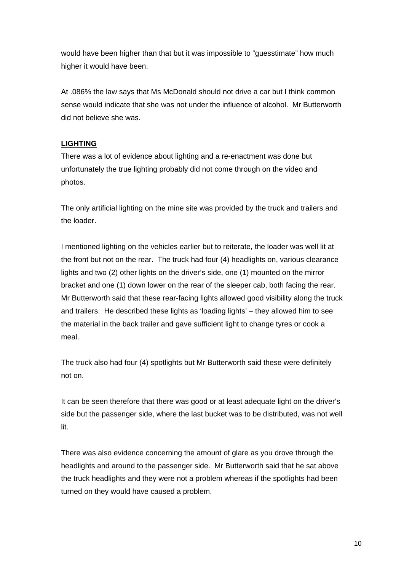would have been higher than that but it was impossible to "guesstimate" how much higher it would have been.

At .086% the law says that Ms McDonald should not drive a car but I think common sense would indicate that she was not under the influence of alcohol. Mr Butterworth did not believe she was.

## **LIGHTING**

There was a lot of evidence about lighting and a re-enactment was done but unfortunately the true lighting probably did not come through on the video and photos.

The only artificial lighting on the mine site was provided by the truck and trailers and the loader.

I mentioned lighting on the vehicles earlier but to reiterate, the loader was well lit at the front but not on the rear. The truck had four (4) headlights on, various clearance lights and two (2) other lights on the driver's side, one (1) mounted on the mirror bracket and one (1) down lower on the rear of the sleeper cab, both facing the rear. Mr Butterworth said that these rear-facing lights allowed good visibility along the truck and trailers. He described these lights as 'loading lights' – they allowed him to see the material in the back trailer and gave sufficient light to change tyres or cook a meal.

The truck also had four (4) spotlights but Mr Butterworth said these were definitely not on.

It can be seen therefore that there was good or at least adequate light on the driver's side but the passenger side, where the last bucket was to be distributed, was not well lit.

There was also evidence concerning the amount of glare as you drove through the headlights and around to the passenger side. Mr Butterworth said that he sat above the truck headlights and they were not a problem whereas if the spotlights had been turned on they would have caused a problem.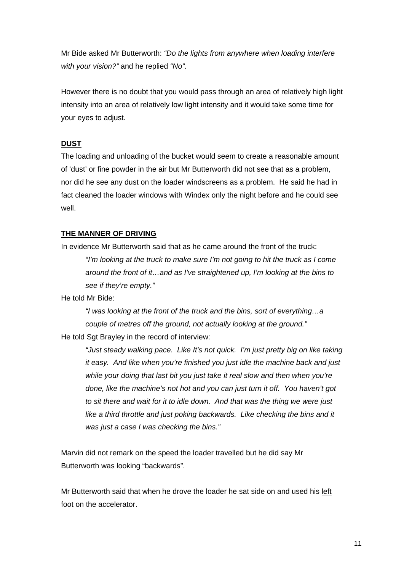Mr Bide asked Mr Butterworth: *"Do the lights from anywhere when loading interfere with your vision?"* and he replied *"No"*.

However there is no doubt that you would pass through an area of relatively high light intensity into an area of relatively low light intensity and it would take some time for your eyes to adjust.

## **DUST**

The loading and unloading of the bucket would seem to create a reasonable amount of 'dust' or fine powder in the air but Mr Butterworth did not see that as a problem, nor did he see any dust on the loader windscreens as a problem. He said he had in fact cleaned the loader windows with Windex only the night before and he could see well.

## **THE MANNER OF DRIVING**

In evidence Mr Butterworth said that as he came around the front of the truck: *"I'm looking at the truck to make sure I'm not going to hit the truck as I come around the front of it…and as I've straightened up, I'm looking at the bins to see if they're empty."* 

He told Mr Bide:

*"I was looking at the front of the truck and the bins, sort of everything…a couple of metres off the ground, not actually looking at the ground."*  He told Sgt Brayley in the record of interview:

*"Just steady walking pace. Like It's not quick. I'm just pretty big on like taking it easy. And like when you're finished you just idle the machine back and just while your doing that last bit you just take it real slow and then when you're done, like the machine's not hot and you can just turn it off. You haven't got to sit there and wait for it to idle down. And that was the thing we were just like a third throttle and just poking backwards. Like checking the bins and it was just a case I was checking the bins."* 

Marvin did not remark on the speed the loader travelled but he did say Mr Butterworth was looking "backwards".

Mr Butterworth said that when he drove the loader he sat side on and used his left foot on the accelerator.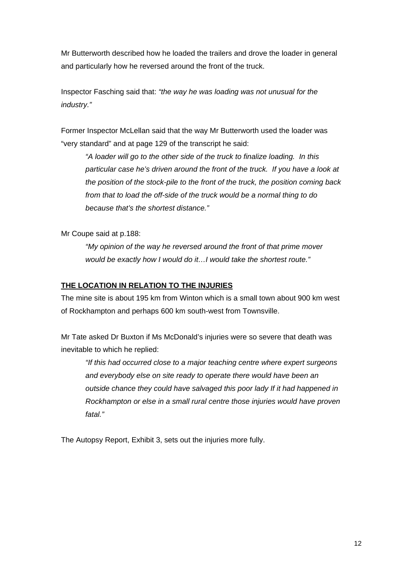Mr Butterworth described how he loaded the trailers and drove the loader in general and particularly how he reversed around the front of the truck.

Inspector Fasching said that: *"the way he was loading was not unusual for the industry."*

Former Inspector McLellan said that the way Mr Butterworth used the loader was "very standard" and at page 129 of the transcript he said:

*"A loader will go to the other side of the truck to finalize loading. In this particular case he's driven around the front of the truck. If you have a look at the position of the stock-pile to the front of the truck, the position coming back*  from that to load the off-side of the truck would be a normal thing to do *because that's the shortest distance."* 

Mr Coupe said at p.188:

*"My opinion of the way he reversed around the front of that prime mover would be exactly how I would do it…I would take the shortest route."* 

## **THE LOCATION IN RELATION TO THE INJURIES**

The mine site is about 195 km from Winton which is a small town about 900 km west of Rockhampton and perhaps 600 km south-west from Townsville.

Mr Tate asked Dr Buxton if Ms McDonald's injuries were so severe that death was inevitable to which he replied:

*"If this had occurred close to a major teaching centre where expert surgeons and everybody else on site ready to operate there would have been an outside chance they could have salvaged this poor lady If it had happened in Rockhampton or else in a small rural centre those injuries would have proven fatal."*

The Autopsy Report, Exhibit 3, sets out the injuries more fully.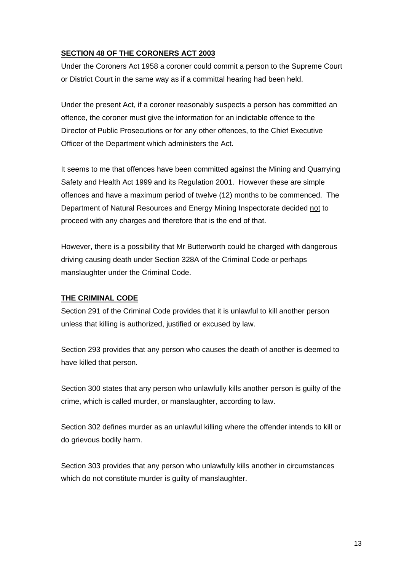# **SECTION 48 OF THE CORONERS ACT 2003**

Under the Coroners Act 1958 a coroner could commit a person to the Supreme Court or District Court in the same way as if a committal hearing had been held.

Under the present Act, if a coroner reasonably suspects a person has committed an offence, the coroner must give the information for an indictable offence to the Director of Public Prosecutions or for any other offences, to the Chief Executive Officer of the Department which administers the Act.

It seems to me that offences have been committed against the Mining and Quarrying Safety and Health Act 1999 and its Regulation 2001. However these are simple offences and have a maximum period of twelve (12) months to be commenced. The Department of Natural Resources and Energy Mining Inspectorate decided not to proceed with any charges and therefore that is the end of that.

However, there is a possibility that Mr Butterworth could be charged with dangerous driving causing death under Section 328A of the Criminal Code or perhaps manslaughter under the Criminal Code.

# **THE CRIMINAL CODE**

Section 291 of the Criminal Code provides that it is unlawful to kill another person unless that killing is authorized, justified or excused by law.

Section 293 provides that any person who causes the death of another is deemed to have killed that person.

Section 300 states that any person who unlawfully kills another person is guilty of the crime, which is called murder, or manslaughter, according to law.

Section 302 defines murder as an unlawful killing where the offender intends to kill or do grievous bodily harm.

Section 303 provides that any person who unlawfully kills another in circumstances which do not constitute murder is guilty of manslaughter.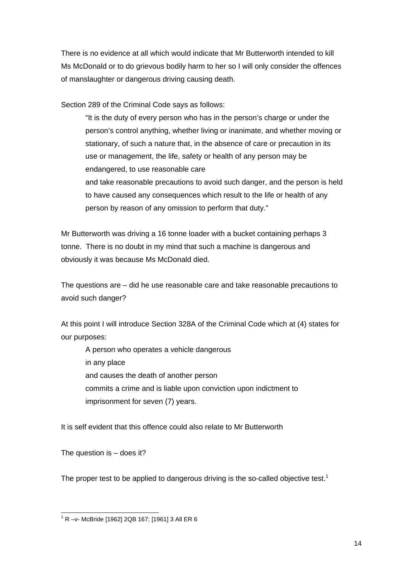There is no evidence at all which would indicate that Mr Butterworth intended to kill Ms McDonald or to do grievous bodily harm to her so I will only consider the offences of manslaughter or dangerous driving causing death.

Section 289 of the Criminal Code says as follows:

"It is the duty of every person who has in the person's charge or under the person's control anything, whether living or inanimate, and whether moving or stationary, of such a nature that, in the absence of care or precaution in its use or management, the life, safety or health of any person may be endangered, to use reasonable care and take reasonable precautions to avoid such danger, and the person is held

to have caused any consequences which result to the life or health of any person by reason of any omission to perform that duty."

Mr Butterworth was driving a 16 tonne loader with a bucket containing perhaps 3 tonne. There is no doubt in my mind that such a machine is dangerous and obviously it was because Ms McDonald died.

The questions are – did he use reasonable care and take reasonable precautions to avoid such danger?

At this point I will introduce Section 328A of the Criminal Code which at (4) states for our purposes:

 A person who operates a vehicle dangerous in any place and causes the death of another person commits a crime and is liable upon conviction upon indictment to imprisonment for seven (7) years.

It is self evident that this offence could also relate to Mr Butterworth

The question is – does it?

The proper test to be applied to dangerous driving is the so-called objective test.<sup>1</sup>

 1 R –v- McBride [1962] 2QB 167; [1961] 3 All ER 6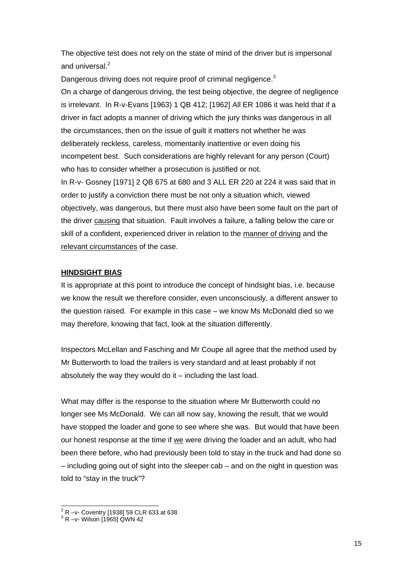The objective test does not rely on the state of mind of the driver but is impersonal and universal.<sup>2</sup>

Dangerous driving does not require proof of criminal negligence.<sup>3</sup>

On a charge of dangerous driving, the test being objective, the degree of negligence is irrelevant. In R-v-Evans [1963) 1 QB 412; [1962] All ER 1086 it was held that if a driver in fact adopts a manner of driving which the jury thinks was dangerous in all the circumstances, then on the issue of guilt it matters not whether he was deliberately reckless, careless, momentarily inattentive or even doing his incompetent best. Such considerations are highly relevant for any person (Court) who has to consider whether a prosecution is justified or not.

In R-v- Gosney [1971] 2 QB 675 at 680 and 3 ALL ER 220 at 224 it was said that in order to justify a conviction there must be not only a situation which, viewed objectively, was dangerous, but there must also have been some fault on the part of the driver causing that situation. Fault involves a failure, a falling below the care or skill of a confident, experienced driver in relation to the manner of driving and the relevant circumstances of the case.

## **HINDSIGHT BIAS**

It is appropriate at this point to introduce the concept of hindsight bias, i.e. because we know the result we therefore consider, even unconsciously, a different answer to the question raised. For example in this case – we know Ms McDonald died so we may therefore, knowing that fact, look at the situation differently.

Inspectors McLellan and Fasching and Mr Coupe all agree that the method used by Mr Butterworth to load the trailers is very standard and at least probably if not absolutely the way they would do it – including the last load.

What may differ is the response to the situation where Mr Butterworth could no longer see Ms McDonald. We can all now say, knowing the result, that we would have stopped the loader and gone to see where she was. But would that have been our honest response at the time if we were driving the loader and an adult, who had been there before, who had previously been told to stay in the truck and had done so – including going out of sight into the sleeper cab – and on the night in question was told to "stay in the truck"?

 2 R –v- Coventry [1938] 59 CLR 633 at 638 3 R –v- Wilson [1965] QWN 42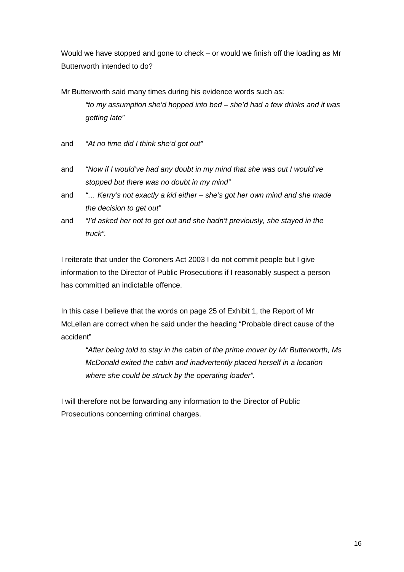Would we have stopped and gone to check – or would we finish off the loading as Mr Butterworth intended to do?

Mr Butterworth said many times during his evidence words such as: *"to my assumption she'd hopped into bed – she'd had a few drinks and it was getting late"*

- and *"At no time did I think she'd got out"*
- and *"Now if I would've had any doubt in my mind that she was out I would've stopped but there was no doubt in my mind"*
- and *"… Kerry's not exactly a kid either she's got her own mind and she made the decision to get out"*
- and *"I'd asked her not to get out and she hadn't previously, she stayed in the truck".*

I reiterate that under the Coroners Act 2003 I do not commit people but I give information to the Director of Public Prosecutions if I reasonably suspect a person has committed an indictable offence.

In this case I believe that the words on page 25 of Exhibit 1, the Report of Mr McLellan are correct when he said under the heading "Probable direct cause of the accident"

*"After being told to stay in the cabin of the prime mover by Mr Butterworth, Ms McDonald exited the cabin and inadvertently placed herself in a location where she could be struck by the operating loader".* 

I will therefore not be forwarding any information to the Director of Public Prosecutions concerning criminal charges.